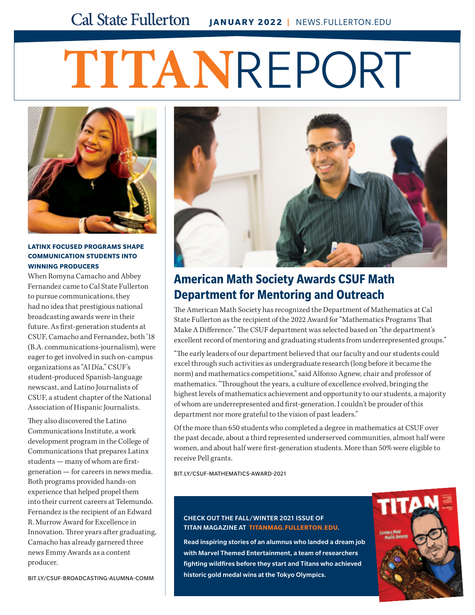# **TITAN**REPORT



#### **LATINX FOCUSED PROGRAMS SHAPE COMMUNICATION STUDENTS INTO WINNING PRODUCERS**

When Romyna Camacho and Abbey Fernandez came to Cal State Fullerton to pursue communications, they had no idea that prestigious national broadcasting awards were in their future. As first-generation students at CSUF, Camacho and Fernandez, both '18 (B.A. communications-journalism), were eager to get involved in such on-campus organizations as "Al Día," CSUF's student-produced Spanish-language newscast, and Latino Journalists of CSUF, a student chapter of the National Association of Hispanic Journalists.

They also discovered the Latino Communications Institute, a work development program in the College of Communications that prepares Latinx students — many of whom are firstgeneration — for careers in news media. Both programs provided hands-on experience that helped propel them into their current careers at Telemundo. Fernandez is the recipient of an Edward R. Murrow Award for Excellence in Innovation. Three years after graduating, Camacho has already garnered three news Emmy Awards as a content producer.



## **American Math Society Awards CSUF Math Department for Mentoring and Outreach**

The American Math Society has recognized the Department of Mathematics at Cal State Fullerton as the recipient of the 2022 Award for "Mathematics Programs That Make A Difference." The CSUF department was selected based on "the department's excellent record of mentoring and graduating students from underrepresented groups."

"The early leaders of our department believed that our faculty and our students could excel through such activities as undergraduate research (long before it became the norm) and mathematics competitions," said Alfonso Agnew, chair and professor of mathematics. "Throughout the years, a culture of excellence evolved, bringing the highest levels of mathematics achievement and opportunity to our students, a majority of whom are underrepresented and first-generation. I couldn't be prouder of this department nor more grateful to the vision of past leaders."

Of the more than 650 students who completed a degree in mathematics at CSUF over the past decade, about a third represented underserved communities, almost half were women, and about half were first-generation students. More than 50% were eligible to receive Pell grants.

[BIT.LY/CSUF-MATHEMATICS-AWARD-2021](http://bit.ly/csuf-mathematics-award-2021)

### CHECK OUT THE FALL/WINTER 2021 ISSUE OF TITAN MAGAZINE AT **[TITANMAG.FULLERTON.EDU](http://titanmag.fullerton.edu)**.

Read inspiring stories of an alumnus who landed a dream job with Marvel Themed Entertainment, a team of researchers fighting wildfires before they start and Titans who achieved historic gold medal wins at the Tokyo Olympics.



[BIT.LY/CSUF-BROADCASTING-ALUMNA-COMM](http://bit.ly/csuf-broadcasting-alumna-comm)